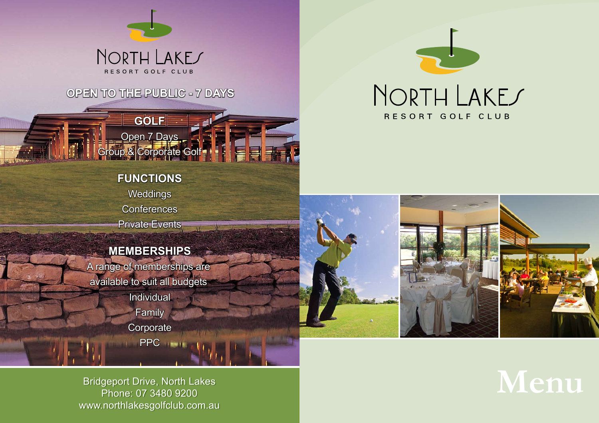

## NORTH LAKES RESORT GOLF CLUB

Bridgeport Drive, North Lakes Bridgeport Drive, North Lakes www.northlakesgolfclub.com.au www.northlakesgolfclub.com.au Phone: 07 3480 9200

# $M$ enu

## **OPEN TO THE PUBLIC - 7 DAYS**

**GOLF**

Open 7 Days

## **FUNCTIONS Weddings Conferences** Private Events

## **MEMBERSHIPS**

A range of memberships are available to suit all budgets **Individual Family Corporate** PPC ...



Group & Corporate Golf Group & Corporate Golf